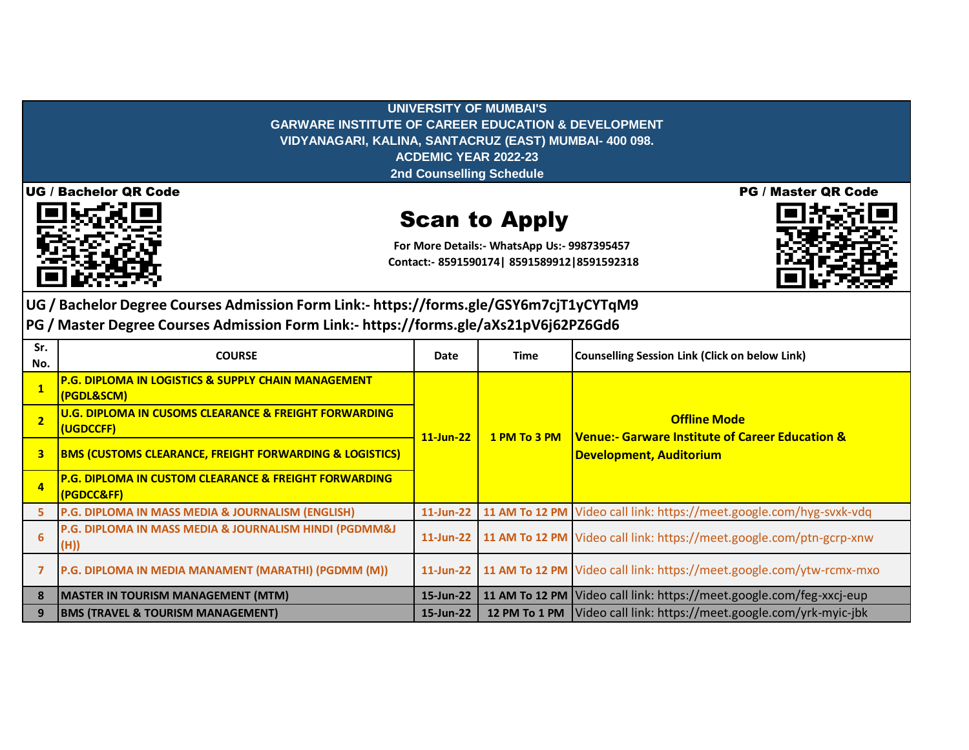**UNIVERSITY OF MUMBAI'S GARWARE INSTITUTE OF CAREER EDUCATION & DEVELOPMENT VIDYANAGARI, KALINA, SANTACRUZ (EAST) MUMBAI- 400 098. ACDEMIC YEAR 2022-23 2nd Counselling Schedule**



## Scan to Apply

**For More Details:- WhatsApp Us:- 9987395457 Contact:- 8591590174| 8591589912|8591592318**



**UG / Bachelor Degree Courses Admission Form Link:- https://forms.gle/GSY6m7cjT1yCYTqM9**

**PG / Master Degree Courses Admission Form Link:- https://forms.gle/aXs21pV6j62PZ6Gd6**

| Sr.<br>No.     | <b>COURSE</b>                                                                  | Date         | Time         | <b>Counselling Session Link (Click on below Link)</b>                                                               |
|----------------|--------------------------------------------------------------------------------|--------------|--------------|---------------------------------------------------------------------------------------------------------------------|
|                | <b>P.G. DIPLOMA IN LOGISTICS &amp; SUPPLY CHAIN MANAGEMENT</b><br>(PGDL&SCM)   | $11$ -Jun-22 | 1 PM To 3 PM | <b>Offline Mode</b><br><b>Venue:- Garware Institute of Career Education &amp;</b><br><b>Development, Auditorium</b> |
| $\overline{2}$ | U.G. DIPLOMA IN CUSOMS CLEARANCE & FREIGHT FORWARDING<br>(UGDCCFF)             |              |              |                                                                                                                     |
| 3              | <b>BMS (CUSTOMS CLEARANCE, FREIGHT FORWARDING &amp; LOGISTICS)</b>             |              |              |                                                                                                                     |
| $\overline{4}$ | <b>P.G. DIPLOMA IN CUSTOM CLEARANCE &amp; FREIGHT FORWARDING</b><br>(PGDCC&FF) |              |              |                                                                                                                     |
| 5              | P.G. DIPLOMA IN MASS MEDIA & JOURNALISM (ENGLISH)                              | $11$ -Jun-22 |              | 11 AM To 12 PM Video call link: https://meet.google.com/hyg-svxk-vdq                                                |
| 6              | P.G. DIPLOMA IN MASS MEDIA & JOURNALISM HINDI (PGDMM&J<br>(H))                 | $11$ -Jun-22 |              | 11 AM To 12 PM Video call link: https://meet.google.com/ptn-gcrp-xnw                                                |
|                | P.G. DIPLOMA IN MEDIA MANAMENT (MARATHI) (PGDMM (M))                           | $11$ -Jun-22 |              | 11 AM To 12 PM Video call link: https://meet.google.com/ytw-rcmx-mxo                                                |
| 8              | <b>MASTER IN TOURISM MANAGEMENT (MTM)</b>                                      | 15-Jun-22    |              | 11 AM To 12 PM Video call link: https://meet.google.com/feg-xxcj-eup                                                |
| 9              | <b>BMS (TRAVEL &amp; TOURISM MANAGEMENT)</b>                                   | 15-Jun-22    |              | 12 PM To 1 PM Video call link: https://meet.google.com/yrk-myic-jbk                                                 |